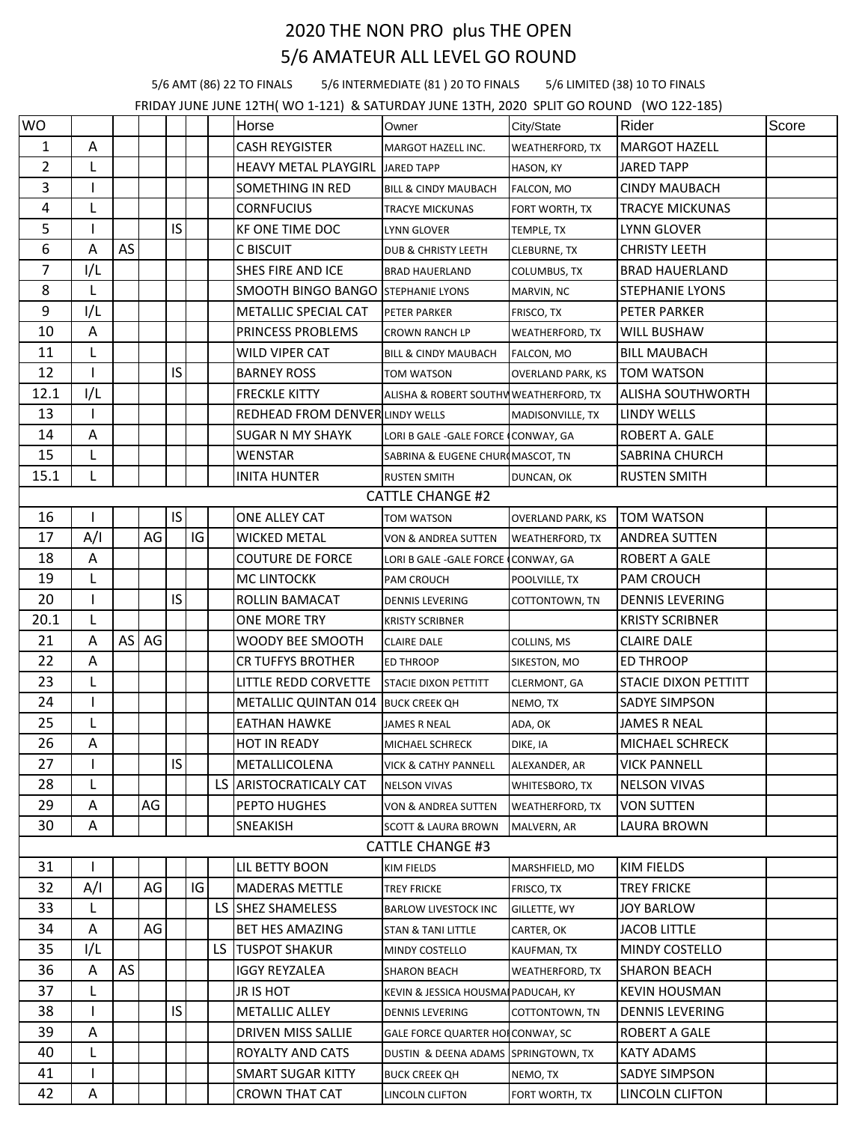## 2020 THE NON PRO plus THE OPEN 5/6 AMATEUR ALL LEVEL GO ROUND

5/6 AMT (86) 22 TO FINALS 5/6 INTERMEDIATE (81 ) 20 TO FINALS 5/6 LIMITED (38) 10 TO FINALS

FRIDAY JUNE JUNE 12TH( WO 1-121) & SATURDAY JUNE 13TH, 2020 SPLIT GO ROUND (WO 122-185)

| <b>WO</b>      |     |      |    |           |    |    | Horse                                     | Owner                                 | City/State               | Rider                       | Score |
|----------------|-----|------|----|-----------|----|----|-------------------------------------------|---------------------------------------|--------------------------|-----------------------------|-------|
| 1              | Α   |      |    |           |    |    | <b>CASH REYGISTER</b>                     | MARGOT HAZELL INC.                    | <b>WEATHERFORD, TX</b>   | <b>MARGOT HAZELL</b>        |       |
| $\overline{2}$ | L   |      |    |           |    |    | <b>HEAVY METAL PLAYGIRL</b>               | <b>JARED TAPP</b>                     | HASON, KY                | <b>JARED TAPP</b>           |       |
| 3              | 1   |      |    |           |    |    | <b>SOMETHING IN RED</b>                   | <b>BILL &amp; CINDY MAUBACH</b>       | <b>FALCON, MO</b>        | <b>CINDY MAUBACH</b>        |       |
| 4              | L   |      |    |           |    |    | <b>CORNFUCIUS</b>                         | <b>TRACYE MICKUNAS</b>                | FORT WORTH, TX           | TRACYE MICKUNAS             |       |
| 5              |     |      |    | <b>IS</b> |    |    | KF ONE TIME DOC                           | LYNN GLOVER                           | TEMPLE, TX               | LYNN GLOVER                 |       |
| 6              | A   | AS   |    |           |    |    | C BISCUIT                                 | <b>DUB &amp; CHRISTY LEETH</b>        | <b>CLEBURNE, TX</b>      | <b>CHRISTY LEETH</b>        |       |
| 7              | I/L |      |    |           |    |    | SHES FIRE AND ICE                         | <b>BRAD HAUERLAND</b>                 | <b>COLUMBUS, TX</b>      | <b>BRAD HAUERLAND</b>       |       |
| 8              | L   |      |    |           |    |    | <b>SMOOTH BINGO BANGO STEPHANIE LYONS</b> |                                       | MARVIN, NC               | <b>STEPHANIE LYONS</b>      |       |
| 9              | 1/L |      |    |           |    |    | <b>METALLIC SPECIAL CAT</b>               | <b>PETER PARKER</b>                   | FRISCO, TX               | PETER PARKER                |       |
| 10             | A   |      |    |           |    |    | PRINCESS PROBLEMS                         | CROWN RANCH LP                        | <b>WEATHERFORD, TX</b>   | <b>WILL BUSHAW</b>          |       |
| 11             | L   |      |    |           |    |    | <b>WILD VIPER CAT</b>                     | <b>BILL &amp; CINDY MAUBACH</b>       | FALCON, MO               | <b>BILL MAUBACH</b>         |       |
| 12             |     |      |    | IS        |    |    | <b>BARNEY ROSS</b>                        | TOM WATSON                            | <b>OVERLAND PARK, KS</b> | <b>TOM WATSON</b>           |       |
| 12.1           | I/L |      |    |           |    |    | <b>FRECKLE KITTY</b>                      | ALISHA & ROBERT SOUTHWWEATHERFORD, TX |                          | <b>ALISHA SOUTHWORTH</b>    |       |
| 13             |     |      |    |           |    |    | <b>REDHEAD FROM DENVER LINDY WELLS</b>    |                                       | MADISONVILLE, TX         | <b>LINDY WELLS</b>          |       |
| 14             | A   |      |    |           |    |    | <b>SUGAR N MY SHAYK</b>                   | LORI B GALE - GALE FORCE CONWAY, GA   |                          | <b>ROBERT A. GALE</b>       |       |
| 15             | L   |      |    |           |    |    | WENSTAR                                   | SABRINA & EUGENE CHUR MASCOT, TN      |                          | <b>SABRINA CHURCH</b>       |       |
| 15.1           |     |      |    |           |    |    | <b>INITA HUNTER</b>                       | <b>RUSTEN SMITH</b>                   | DUNCAN, OK               | <b>RUSTEN SMITH</b>         |       |
|                |     |      |    |           |    |    |                                           | <b>CATTLE CHANGE #2</b>               |                          |                             |       |
| 16             |     |      |    | IS        |    |    | ONE ALLEY CAT                             | <b>TOM WATSON</b>                     | <b>OVERLAND PARK, KS</b> | <b>TOM WATSON</b>           |       |
| 17             | A/I |      | AG |           | IG |    | <b>WICKED METAL</b>                       | VON & ANDREA SUTTEN                   | <b>WEATHERFORD, TX</b>   | ANDREA SUTTEN               |       |
| 18             | А   |      |    |           |    |    | <b>COUTURE DE FORCE</b>                   | LORI B GALE -GALE FORCE (CONWAY, GA   |                          | ROBERT A GALE               |       |
| 19             | L   |      |    |           |    |    | <b>MC LINTOCKK</b>                        | <b>PAM CROUCH</b>                     | POOLVILLE, TX            | <b>PAM CROUCH</b>           |       |
| 20             |     |      |    | IS.       |    |    | ROLLIN BAMACAT                            | DENNIS LEVERING                       | COTTONTOWN, TN           | <b>DENNIS LEVERING</b>      |       |
| 20.1           | L   |      |    |           |    |    | ONE MORE TRY                              | <b>KRISTY SCRIBNER</b>                |                          | <b>KRISTY SCRIBNER</b>      |       |
| 21             | A   | AS I | AG |           |    |    | WOODY BEE SMOOTH                          | <b>CLAIRE DALE</b>                    | COLLINS, MS              | <b>CLAIRE DALE</b>          |       |
| 22             | Α   |      |    |           |    |    | <b>CR TUFFYS BROTHER</b>                  | <b>ED THROOP</b>                      | SIKESTON, MO             | <b>ED THROOP</b>            |       |
| 23             | L   |      |    |           |    |    | LITTLE REDD CORVETTE                      | <b>STACLE DIXON PETTITT</b>           | CLERMONT, GA             | <b>STACIE DIXON PETTITT</b> |       |
| 24             |     |      |    |           |    |    | <b>METALLIC QUINTAN 014</b>               | <b>BUCK CREEK QH</b>                  | NEMO, TX                 | SADYE SIMPSON               |       |
| 25             |     |      |    |           |    |    | <b>EATHAN HAWKE</b>                       | JAMES R NEAL                          | ADA, OK                  | JAMES R NEAL                |       |
| 26             | Α   |      |    |           |    |    | <b>HOT IN READY</b>                       | MICHAEL SCHRECK                       | DIKE, IA                 | <b>MICHAEL SCHRECK</b>      |       |
| 27             |     |      |    | IS        |    |    | <b>METALLICOLENA</b>                      | <b>VICK &amp; CATHY PANNELL</b>       | ALEXANDER, AR            | <b>VICK PANNELL</b>         |       |
| 28             | L   |      |    |           |    |    | LS ARISTOCRATICALY CAT                    | <b>NELSON VIVAS</b>                   | WHITESBORO, TX           | <b>NELSON VIVAS</b>         |       |
| 29             | A   |      | AG |           |    |    | PEPTO HUGHES                              | <b>VON &amp; ANDREA SUTTEN</b>        | <b>WEATHERFORD, TX</b>   | VON SUTTEN                  |       |
| 30             | Α   |      |    |           |    |    | SNEAKISH                                  | <b>SCOTT &amp; LAURA BROWN</b>        | MALVERN, AR              | LAURA BROWN                 |       |
|                |     |      |    |           |    |    |                                           | <b>CATTLE CHANGE #3</b>               |                          |                             |       |
| 31             |     |      |    |           |    |    | LIL BETTY BOON                            | KIM FIELDS                            | MARSHFIELD, MO           | <b>KIM FIELDS</b>           |       |
| 32             | A/I |      | AG |           | IG |    | <b>MADERAS METTLE</b>                     | TREY FRICKE                           | FRISCO, TX               | TREY FRICKE                 |       |
| 33             | L   |      |    |           |    |    | LS SHEZ SHAMELESS                         | <b>BARLOW LIVESTOCK INC</b>           | GILLETTE, WY             | <b>JOY BARLOW</b>           |       |
| 34             | Α   |      | AG |           |    |    | <b>BET HES AMAZING</b>                    | <b>STAN &amp; TANI LITTLE</b>         | CARTER, OK               | <b>JACOB LITTLE</b>         |       |
| 35             | 1/L |      |    |           |    | LS | <b>ITUSPOT SHAKUR</b>                     | MINDY COSTELLO                        | KAUFMAN, TX              | <b>MINDY COSTELLO</b>       |       |
| 36             | Α   | AS   |    |           |    |    | <b>IGGY REYZALEA</b>                      | <b>SHARON BEACH</b>                   | <b>WEATHERFORD, TX</b>   | <b>SHARON BEACH</b>         |       |
| 37             | L   |      |    |           |    |    | JR IS HOT                                 | KEVIN & JESSICA HOUSMAI PADUCAH, KY   |                          | <b>KEVIN HOUSMAN</b>        |       |
| 38             |     |      |    | IS        |    |    | <b>METALLIC ALLEY</b>                     | <b>DENNIS LEVERING</b>                | COTTONTOWN, TN           | <b>DENNIS LEVERING</b>      |       |
| 39             | Α   |      |    |           |    |    | <b>DRIVEN MISS SALLIE</b>                 | GALE FORCE QUARTER HOLCONWAY, SC      |                          | ROBERT A GALE               |       |
| 40             | L   |      |    |           |    |    | ROYALTY AND CATS                          | DUSTIN & DEENA ADAMS SPRINGTOWN, TX   |                          | <b>KATY ADAMS</b>           |       |
| 41             |     |      |    |           |    |    | <b>SMART SUGAR KITTY</b>                  | <b>BUCK CREEK QH</b>                  | NEMO, TX                 | <b>SADYE SIMPSON</b>        |       |
| 42             | Α   |      |    |           |    |    | <b>CROWN THAT CAT</b>                     | LINCOLN CLIFTON                       | FORT WORTH, TX           | LINCOLN CLIFTON             |       |
|                |     |      |    |           |    |    |                                           |                                       |                          |                             |       |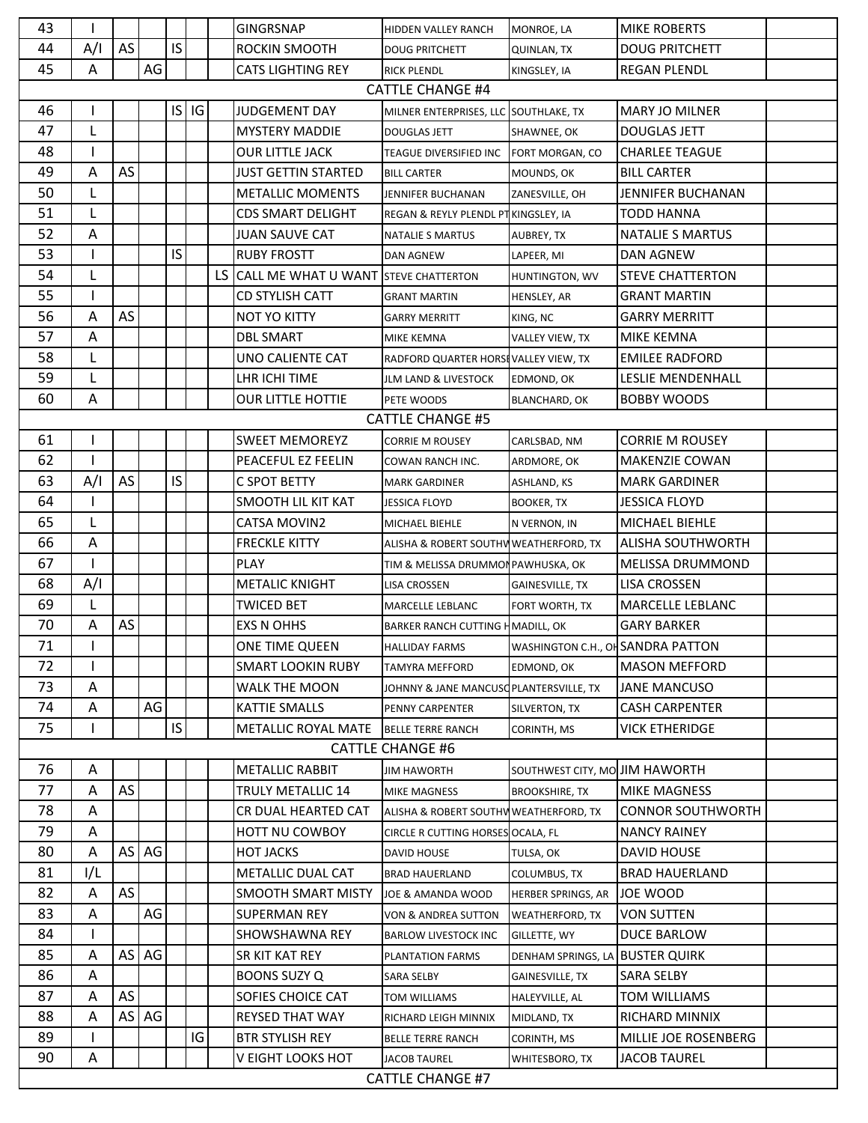| 43                      |                         |    |    |           |    | <b>GINGRSNAP</b>                     | HIDDEN VALLEY RANCH                     | MONROE, LA                        | <b>MIKE ROBERTS</b>      |  |
|-------------------------|-------------------------|----|----|-----------|----|--------------------------------------|-----------------------------------------|-----------------------------------|--------------------------|--|
| 44                      | A/I                     | AS |    | IS        |    | ROCKIN SMOOTH                        | <b>DOUG PRITCHETT</b>                   | <b>QUINLAN, TX</b>                | <b>DOUG PRITCHETT</b>    |  |
| 45                      | Α                       |    | AG |           |    | <b>CATS LIGHTING REY</b>             | <b>RICK PLENDL</b>                      | KINGSLEY, IA                      | <b>REGAN PLENDL</b>      |  |
| <b>CATTLE CHANGE #4</b> |                         |    |    |           |    |                                      |                                         |                                   |                          |  |
| 46                      |                         |    |    | $IS$ $IG$ |    | <b>JUDGEMENT DAY</b>                 | MILNER ENTERPRISES, LLC SOUTHLAKE, TX   |                                   | <b>MARY JO MILNER</b>    |  |
| 47                      | L                       |    |    |           |    | <b>MYSTERY MADDIE</b>                | <b>DOUGLAS JETT</b>                     | SHAWNEE, OK                       | <b>DOUGLAS JETT</b>      |  |
| 48                      |                         |    |    |           |    | OUR LITTLE JACK                      | TEAGUE DIVERSIFIED INC                  | FORT MORGAN, CO                   | <b>CHARLEE TEAGUE</b>    |  |
| 49                      | A                       | AS |    |           |    | JUST GETTIN STARTED                  | <b>BILL CARTER</b>                      | MOUNDS, OK                        | <b>BILL CARTER</b>       |  |
| 50                      | L                       |    |    |           |    | METALLIC MOMENTS                     | JENNIFER BUCHANAN                       | ZANESVILLE, OH                    | JENNIFER BUCHANAN        |  |
| 51                      |                         |    |    |           |    | <b>CDS SMART DELIGHT</b>             | REGAN & REYLY PLENDL PT KINGSLEY, IA    |                                   | <b>TODD HANNA</b>        |  |
| 52                      | Α                       |    |    |           |    | JUAN SAUVE CAT                       | NATALIE S MARTUS                        | AUBREY, TX                        | <b>NATALIE S MARTUS</b>  |  |
| 53                      |                         |    |    | IS        |    | <b>RUBY FROSTT</b>                   | <b>DAN AGNEW</b>                        | LAPEER, MI                        | <b>DAN AGNEW</b>         |  |
| 54                      | L                       |    |    |           | LS | CALL ME WHAT U WANT STEVE CHATTERTON |                                         | HUNTINGTON, WV                    | <b>STEVE CHATTERTON</b>  |  |
| 55                      |                         |    |    |           |    | <b>CD STYLISH CATT</b>               | <b>GRANT MARTIN</b>                     | <b>HENSLEY, AR</b>                | <b>GRANT MARTIN</b>      |  |
| 56                      | Α                       | AS |    |           |    | NOT YO KITTY                         | <b>GARRY MERRITT</b>                    | KING, NC                          | GARRY MERRITT            |  |
| 57                      | A                       |    |    |           |    | <b>DBL SMART</b>                     | MIKE KEMNA                              | VALLEY VIEW, TX                   | MIKE KEMNA               |  |
| 58                      | L                       |    |    |           |    | UNO CALIENTE CAT                     | RADFORD QUARTER HORSEVALLEY VIEW, TX    |                                   | <b>EMILEE RADFORD</b>    |  |
| 59                      |                         |    |    |           |    | LHR ICHI TIME                        | <b>JLM LAND &amp; LIVESTOCK</b>         | EDMOND, OK                        | LESLIE MENDENHALL        |  |
| 60                      | A                       |    |    |           |    | <b>OUR LITTLE HOTTIE</b>             | PETE WOODS                              | <b>BLANCHARD, OK</b>              | <b>BOBBY WOODS</b>       |  |
|                         |                         |    |    |           |    |                                      | <b>CATTLE CHANGE #5</b>                 |                                   |                          |  |
| 61                      |                         |    |    |           |    | <b>SWEET MEMOREYZ</b>                | CORRIE M ROUSEY                         | CARLSBAD, NM                      | <b>CORRIE M ROUSEY</b>   |  |
| 62                      |                         |    |    |           |    | PEACEFUL EZ FEELIN                   | COWAN RANCH INC.                        | ARDMORE, OK                       | <b>MAKENZIE COWAN</b>    |  |
| 63                      | A/I                     | AS |    | IS        |    | C SPOT BETTY                         | <b>MARK GARDINER</b>                    | ASHLAND, KS                       | <b>MARK GARDINER</b>     |  |
| 64                      |                         |    |    |           |    | SMOOTH LIL KIT KAT                   | JESSICA FLOYD                           | <b>BOOKER, TX</b>                 | <b>JESSICA FLOYD</b>     |  |
| 65                      | L                       |    |    |           |    | CATSA MOVIN2                         | MICHAEL BIEHLE                          | N VERNON, IN                      | MICHAEL BIEHLE           |  |
| 66                      | Α                       |    |    |           |    | <b>FRECKLE KITTY</b>                 | ALISHA & ROBERT SOUTHV WEATHERFORD, TX  |                                   | <b>ALISHA SOUTHWORTH</b> |  |
| 67                      |                         |    |    |           |    | <b>PLAY</b>                          | TIM & MELISSA DRUMMON PAWHUSKA, OK      |                                   | <b>MELISSA DRUMMOND</b>  |  |
| 68                      | A/I                     |    |    |           |    | <b>METALIC KNIGHT</b>                | LISA CROSSEN                            | <b>GAINESVILLE, TX</b>            | <b>LISA CROSSEN</b>      |  |
| 69                      | L                       |    |    |           |    | <b>TWICED BET</b>                    | MARCELLE LEBLANC                        | FORT WORTH, TX                    | MARCELLE LEBLANC         |  |
| 70                      | Α                       | AS |    |           |    | <b>EXS N OHHS</b>                    | BARKER RANCH CUTTING H MADILL, OK       |                                   | <b>GARY BARKER</b>       |  |
| 71                      |                         |    |    |           |    | ONE TIME QUEEN                       | <b>HALLIDAY FARMS</b>                   | WASHINGTON C.H., OH SANDRA PATTON |                          |  |
| 72                      |                         |    |    |           |    | SMART LOOKIN RUBY                    | TAMYRA MEFFORD                          | EDMOND, OK                        | <b>MASON MEFFORD</b>     |  |
| 73                      | Α                       |    |    |           |    | WALK THE MOON                        | JOHNNY & JANE MANCUSO PLANTERSVILLE, TX |                                   | <b>JANE MANCUSO</b>      |  |
| 74                      | Α                       |    | AG |           |    | <b>KATTIE SMALLS</b>                 | PENNY CARPENTER                         | SILVERTON, TX                     | <b>CASH CARPENTER</b>    |  |
| 75                      |                         |    |    | IS        |    | METALLIC ROYAL MATE                  | <b>BELLE TERRE RANCH</b>                | CORINTH, MS                       | <b>VICK ETHERIDGE</b>    |  |
|                         |                         |    |    |           |    |                                      | <b>CATTLE CHANGE #6</b>                 |                                   |                          |  |
| 76                      | Α                       |    |    |           |    | <b>METALLIC RABBIT</b>               | <b>JIM HAWORTH</b>                      | SOUTHWEST CITY, MO JIM HAWORTH    |                          |  |
| 77                      | Α                       | AS |    |           |    | TRULY METALLIC 14                    | <b>MIKE MAGNESS</b>                     | <b>BROOKSHIRE, TX</b>             | <b>MIKE MAGNESS</b>      |  |
| 78                      | Α                       |    |    |           |    | CR DUAL HEARTED CAT                  | ALISHA & ROBERT SOUTHV WEATHERFORD, TX  |                                   | <b>CONNOR SOUTHWORTH</b> |  |
| 79                      | Α                       |    |    |           |    | <b>HOTT NU COWBOY</b>                | CIRCLE R CUTTING HORSES OCALA, FL       |                                   | <b>NANCY RAINEY</b>      |  |
| 80                      | Α                       | AS | AG |           |    | <b>HOT JACKS</b>                     | DAVID HOUSE                             | TULSA, OK                         | DAVID HOUSE              |  |
| 81                      | I/L                     |    |    |           |    | METALLIC DUAL CAT                    | <b>BRAD HAUERLAND</b>                   | COLUMBUS, TX                      | <b>BRAD HAUERLAND</b>    |  |
| 82                      | Α                       | AS |    |           |    | SMOOTH SMART MISTY                   | JOE & AMANDA WOOD                       | HERBER SPRINGS, AR                | JOE WOOD                 |  |
| 83                      | Α                       |    | AG |           |    | <b>SUPERMAN REY</b>                  | VON & ANDREA SUTTON                     | <b>WEATHERFORD, TX</b>            | <b>VON SUTTEN</b>        |  |
| 84                      |                         |    |    |           |    | SHOWSHAWNA REY                       | <b>BARLOW LIVESTOCK INC</b>             | GILLETTE, WY                      | DUCE BARLOW              |  |
| 85                      | А                       | AS | AG |           |    | SR KIT KAT REY                       | PLANTATION FARMS                        | DENHAM SPRINGS, LA                | <b>BUSTER QUIRK</b>      |  |
| 86                      | A                       |    |    |           |    | <b>BOONS SUZY Q</b>                  | SARA SELBY                              | <b>GAINESVILLE, TX</b>            | <b>SARA SELBY</b>        |  |
| 87                      | А                       | AS |    |           |    | SOFIES CHOICE CAT                    | TOM WILLIAMS                            | HALEYVILLE, AL                    | TOM WILLIAMS             |  |
| 88                      | Α                       | AS | AG |           |    | <b>REYSED THAT WAY</b>               | RICHARD LEIGH MINNIX                    | MIDLAND, TX                       | RICHARD MINNIX           |  |
| 89                      |                         |    |    |           | IG | <b>BTR STYLISH REY</b>               | <b>BELLE TERRE RANCH</b>                | CORINTH, MS                       | MILLIE JOE ROSENBERG     |  |
| 90                      | A                       |    |    |           |    | V EIGHT LOOKS HOT                    | JACOB TAUREL                            | WHITESBORO, TX                    | <b>JACOB TAUREL</b>      |  |
|                         | <b>CATTLE CHANGE #7</b> |    |    |           |    |                                      |                                         |                                   |                          |  |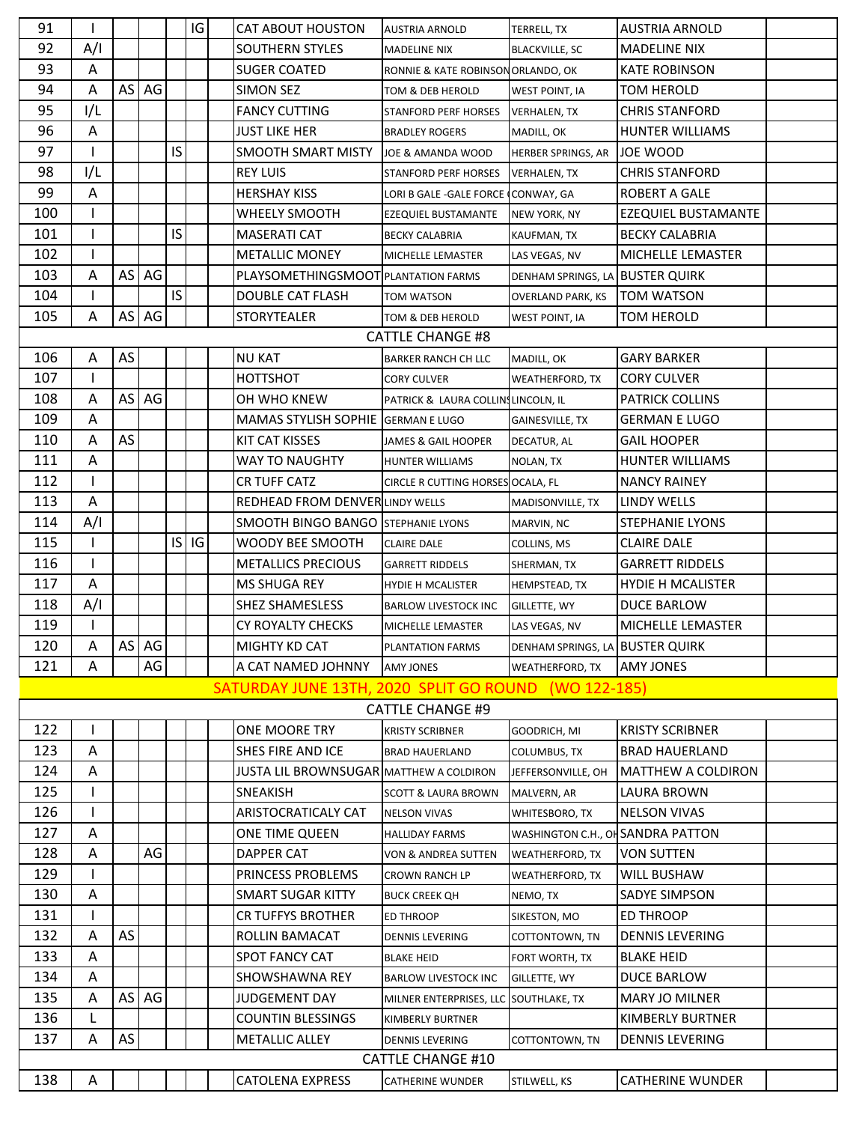| 91  |              |    |                    |     | IG        | <b>CAT ABOUT HOUSTON</b>                             | <b>AUSTRIA ARNOLD</b>                 | TERRELL, TX                      | <b>AUSTRIA ARNOLD</b>      |  |
|-----|--------------|----|--------------------|-----|-----------|------------------------------------------------------|---------------------------------------|----------------------------------|----------------------------|--|
| 92  | A/I          |    |                    |     |           | <b>SOUTHERN STYLES</b>                               | <b>MADELINE NIX</b>                   | <b>BLACKVILLE, SC</b>            | <b>MADELINE NIX</b>        |  |
| 93  | Α            |    |                    |     |           | <b>SUGER COATED</b>                                  | RONNIE & KATE ROBINSON ORLANDO, OK    |                                  | KATE ROBINSON              |  |
| 94  | A            | AS | AG                 |     |           | <b>SIMON SEZ</b>                                     | TOM & DEB HEROLD                      | WEST POINT, IA                   | <b>TOM HEROLD</b>          |  |
| 95  | I/L          |    |                    |     |           | <b>FANCY CUTTING</b>                                 | <b>STANFORD PERF HORSES</b>           | <b>VERHALEN, TX</b>              | <b>CHRIS STANFORD</b>      |  |
| 96  | A            |    |                    |     |           | <b>JUST LIKE HER</b>                                 | <b>BRADLEY ROGERS</b>                 | MADILL, OK                       | <b>HUNTER WILLIAMS</b>     |  |
| 97  | T            |    |                    | IS. |           | <b>SMOOTH SMART MISTY</b>                            | JOE & AMANDA WOOD                     | <b>HERBER SPRINGS, AR</b>        | <b>JOE WOOD</b>            |  |
| 98  | I/L          |    |                    |     |           | <b>REY LUIS</b>                                      | <b>STANFORD PERF HORSES</b>           | <b>VERHALEN, TX</b>              | <b>CHRIS STANFORD</b>      |  |
| 99  | A            |    |                    |     |           | <b>HERSHAY KISS</b>                                  | LORI B GALE -GALE FORCE (CONWAY, GA   |                                  | <b>ROBERT A GALE</b>       |  |
| 100 |              |    |                    |     |           | WHEELY SMOOTH                                        | <b>EZEQUIEL BUSTAMANTE</b>            | NEW YORK, NY                     | <b>EZEQUIEL BUSTAMANTE</b> |  |
| 101 |              |    |                    | IS  |           | <b>MASERATI CAT</b>                                  | <b>BECKY CALABRIA</b>                 | KAUFMAN, TX                      | <b>BECKY CALABRIA</b>      |  |
| 102 | $\mathbf{I}$ |    |                    |     |           | <b>METALLIC MONEY</b>                                | MICHELLE LEMASTER                     | LAS VEGAS, NV                    | MICHELLE LEMASTER          |  |
| 103 | Α            |    | $AS$ $AG$          |     |           | PLAYSOMETHINGSMOOT PLANTATION FARMS                  |                                       | DENHAM SPRINGS, LA BUSTER QUIRK  |                            |  |
| 104 |              |    |                    | IS. |           | <b>DOUBLE CAT FLASH</b>                              | TOM WATSON                            | <b>OVERLAND PARK, KS</b>         | <b>TOM WATSON</b>          |  |
| 105 | Α            |    | $AS$ $AG$          |     |           | <b>STORYTEALER</b>                                   | TOM & DEB HEROLD                      | <b>WEST POINT, IA</b>            | <b>TOM HEROLD</b>          |  |
|     |              |    |                    |     |           |                                                      | <b>CATTLE CHANGE #8</b>               |                                  |                            |  |
| 106 | Α            | AS |                    |     |           | <b>NU KAT</b>                                        | BARKER RANCH CH LLC                   | MADILL, OK                       | <b>GARY BARKER</b>         |  |
| 107 |              |    |                    |     |           | HOTTSHOT                                             | <b>CORY CULVER</b>                    | WEATHERFORD, TX                  | <b>CORY CULVER</b>         |  |
| 108 | A            |    | AS <sub>1</sub> AG |     |           | OH WHO KNEW                                          | PATRICK & LAURA COLLINSLINCOLN, IL    |                                  | <b>PATRICK COLLINS</b>     |  |
| 109 | Α            |    |                    |     |           | MAMAS STYLISH SOPHIE GERMAN E LUGO                   |                                       | GAINESVILLE, TX                  | <b>GERMAN E LUGO</b>       |  |
| 110 | A            | AS |                    |     |           | <b>KIT CAT KISSES</b>                                | JAMES & GAIL HOOPER                   | DECATUR, AL                      | <b>GAIL HOOPER</b>         |  |
| 111 | Α            |    |                    |     |           | WAY TO NAUGHTY                                       | HUNTER WILLIAMS                       | NOLAN, TX                        | <b>HUNTER WILLIAMS</b>     |  |
| 112 |              |    |                    |     |           | CR TUFF CATZ                                         | CIRCLE R CUTTING HORSES OCALA, FL     |                                  | <b>NANCY RAINEY</b>        |  |
| 113 | A            |    |                    |     |           | <b>REDHEAD FROM DENVER LINDY WELLS</b>               |                                       | MADISONVILLE, TX                 | <b>LINDY WELLS</b>         |  |
| 114 | A/I          |    |                    |     |           | <b>SMOOTH BINGO BANGO</b>                            | <b>STEPHANIE LYONS</b>                | MARVIN, NC                       | <b>STEPHANIE LYONS</b>     |  |
| 115 | ı            |    |                    |     | $IS$ $IG$ | WOODY BEE SMOOTH                                     | <b>CLAIRE DALE</b>                    | COLLINS, MS                      | <b>CLAIRE DALE</b>         |  |
| 116 |              |    |                    |     |           | <b>METALLICS PRECIOUS</b>                            | <b>GARRETT RIDDELS</b>                | SHERMAN, TX                      | <b>GARRETT RIDDELS</b>     |  |
| 117 | A            |    |                    |     |           | <b>MS SHUGA REY</b>                                  | HYDIE H MCALISTER                     | HEMPSTEAD, TX                    | <b>HYDIE H MCALISTER</b>   |  |
| 118 | A/I          |    |                    |     |           | <b>SHEZ SHAMESLESS</b>                               | <b>BARLOW LIVESTOCK INC</b>           | GILLETTE, WY                     | <b>DUCE BARLOW</b>         |  |
| 119 |              |    |                    |     |           | CY ROYALTY CHECKS                                    | MICHELLE LEMASTER                     | LAS VEGAS, NV                    | MICHELLE LEMASTER          |  |
| 120 | Α            |    | AS AG              |     |           | MIGHTY KD CAT                                        | PLANTATION FARMS                      | DENHAM SPRINGS, LA BUSTER QUIRK  |                            |  |
| 121 | Α            |    | AG                 |     |           | A CAT NAMED JOHNNY                                   | <b>AMY JONES</b>                      | <b>WEATHERFORD, TX</b>           | <b>AMY JONES</b>           |  |
|     |              |    |                    |     |           | SATURDAY JUNE 13TH, 2020 SPLIT GO ROUND (WO 122-185) |                                       |                                  |                            |  |
|     |              |    |                    |     |           |                                                      | <b>CATTLE CHANGE #9</b>               |                                  |                            |  |
| 122 |              |    |                    |     |           | ONE MOORE TRY                                        | <b>KRISTY SCRIBNER</b>                | GOODRICH, MI                     | <b>KRISTY SCRIBNER</b>     |  |
| 123 | Α            |    |                    |     |           | <b>SHES FIRE AND ICE</b>                             | <b>BRAD HAUERLAND</b>                 | <b>COLUMBUS, TX</b>              | <b>BRAD HAUERLAND</b>      |  |
| 124 | Α            |    |                    |     |           | <b>JUSTA LIL BROWNSUGARIMATTHEW A COLDIRON</b>       |                                       | JEFFERSONVILLE, OH               | <b>IMATTHEW A COLDIRON</b> |  |
| 125 |              |    |                    |     |           | SNEAKISH                                             | <b>SCOTT &amp; LAURA BROWN</b>        | MALVERN, AR                      | LAURA BROWN                |  |
| 126 |              |    |                    |     |           | ARISTOCRATICALY CAT                                  | <b>NELSON VIVAS</b>                   | WHITESBORO, TX                   | <b>NELSON VIVAS</b>        |  |
| 127 | Α            |    |                    |     |           | ONE TIME QUEEN                                       | <b>HALLIDAY FARMS</b>                 | WASHINGTON C.H., OHSANDRA PATTON |                            |  |
| 128 | Α            |    | AG                 |     |           | DAPPER CAT                                           | VON & ANDREA SUTTEN                   | <b>WEATHERFORD, TX</b>           | <b>VON SUTTEN</b>          |  |
| 129 |              |    |                    |     |           | PRINCESS PROBLEMS                                    | CROWN RANCH LP                        | WEATHERFORD, TX                  | <b>WILL BUSHAW</b>         |  |
| 130 | A            |    |                    |     |           | <b>SMART SUGAR KITTY</b>                             | <b>BUCK CREEK QH</b>                  | NEMO, TX                         | <b>SADYE SIMPSON</b>       |  |
| 131 |              |    |                    |     |           | CR TUFFYS BROTHER                                    | <b>ED THROOP</b>                      | SIKESTON, MO                     | <b>ED THROOP</b>           |  |
| 132 | A            | AS |                    |     |           | ROLLIN BAMACAT                                       | <b>DENNIS LEVERING</b>                | COTTONTOWN, TN                   | <b>DENNIS LEVERING</b>     |  |
| 133 | Α            |    |                    |     |           | <b>SPOT FANCY CAT</b>                                | <b>BLAKE HEID</b>                     | FORT WORTH, TX                   | <b>BLAKE HEID</b>          |  |
| 134 | A            |    |                    |     |           | SHOWSHAWNA REY                                       | <b>BARLOW LIVESTOCK INC</b>           | GILLETTE, WY                     | DUCE BARLOW                |  |
| 135 | A            |    | $AS$ $AG$          |     |           | <b>JUDGEMENT DAY</b>                                 | MILNER ENTERPRISES, LLC SOUTHLAKE, TX |                                  | <b>MARY JO MILNER</b>      |  |
| 136 | L            |    |                    |     |           | <b>COUNTIN BLESSINGS</b>                             | KIMBERLY BURTNER                      |                                  | KIMBERLY BURTNER           |  |
| 137 | Α            | AS |                    |     |           | <b>METALLIC ALLEY</b>                                | <b>DENNIS LEVERING</b>                | COTTONTOWN, TN                   | <b>DENNIS LEVERING</b>     |  |
|     |              |    |                    |     |           |                                                      | <b>CATTLE CHANGE #10</b>              |                                  |                            |  |
| 138 | A            |    |                    |     |           | <b>CATOLENA EXPRESS</b>                              | <b>CATHERINE WUNDER</b>               | STILWELL, KS                     | <b>CATHERINE WUNDER</b>    |  |
|     |              |    |                    |     |           |                                                      |                                       |                                  |                            |  |